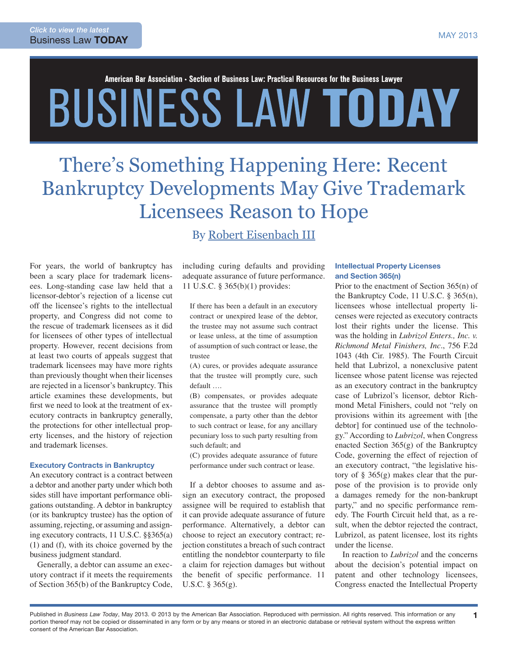# American Bar Association • Section of Business Law: Practical Resources for the Business Lawyer BUSINESS LAW TODAY

# There's Something Happening Here: Recent Bankruptcy Developments May Give Trademark Licensees Reason to Hope

For years, the world of bankruptcy has been a scary place for trademark licensees. Long-standing case law held that a licensor-debtor's rejection of a license cut off the licensee's rights to the intellectual property, and Congress did not come to the rescue of trademark licensees as it did for licensees of other types of intellectual property. However, recent decisions from at least two courts of appeals suggest that trademark licensees may have more rights than previously thought when their licenses are rejected in a licensor's bankruptcy. This article examines these developments, but first we need to look at the treatment of executory contracts in bankruptcy generally, the protections for other intellectual property licenses, and the history of rejection and trademark licenses.

#### Executory Contracts in Bankruptcy

An executory contract is a contract between a debtor and another party under which both sides still have important performance obligations outstanding. A debtor in bankruptcy (or its bankruptcy trustee) has the option of assuming, rejecting, or assuming and assigning executory contracts, 11 U.S.C. §§365(a) (1) and (f), with its choice governed by the business judgment standard.

Generally, a debtor can assume an executory contract if it meets the requirements of Section 365(b) of the Bankruptcy Code,

By [Robert Eisenbach III](http://www.cooley.com/reisenbach)

including curing defaults and providing adequate assurance of future performance. 11 U.S.C. § 365(b)(1) provides:

If there has been a default in an executory contract or unexpired lease of the debtor, the trustee may not assume such contract or lease unless, at the time of assumption of assumption of such contract or lease, the trustee

(A) cures, or provides adequate assurance that the trustee will promptly cure, such default ….

(B) compensates, or provides adequate assurance that the trustee will promptly compensate, a party other than the debtor to such contract or lease, for any ancillary pecuniary loss to such party resulting from such default; and

(C) provides adequate assurance of future performance under such contract or lease.

If a debtor chooses to assume and assign an executory contract, the proposed assignee will be required to establish that it can provide adequate assurance of future performance. Alternatively, a debtor can choose to reject an executory contract; rejection constitutes a breach of such contract entitling the nondebtor counterparty to file a claim for rejection damages but without the benefit of specific performance. 11 U.S.C. § 365(g).

# Intellectual Property Licenses and Section 365(n)

Prior to the enactment of Section 365(n) of the Bankruptcy Code, 11 U.S.C. § 365(n), licensees whose intellectual property licenses were rejected as executory contracts lost their rights under the license. This was the holding in *Lubrizol Enters., Inc. v. Richmond Metal Finishers, Inc*., 756 F.2d 1043 (4th Cir. 1985). The Fourth Circuit held that Lubrizol, a nonexclusive patent licensee whose patent license was rejected as an executory contract in the bankruptcy case of Lubrizol's licensor, debtor Richmond Metal Finishers, could not "rely on provisions within its agreement with [the debtor] for continued use of the technology." According to *Lubrizol*, when Congress enacted Section 365(g) of the Bankruptcy Code, governing the effect of rejection of an executory contract, "the legislative history of § 365(g) makes clear that the purpose of the provision is to provide only a damages remedy for the non-bankrupt party," and no specific performance remedy. The Fourth Circuit held that, as a result, when the debtor rejected the contract, Lubrizol, as patent licensee, lost its rights under the license.

In reaction to *Lubrizol* and the concerns about the decision's potential impact on patent and other technology licensees, Congress enacted the Intellectual Property

1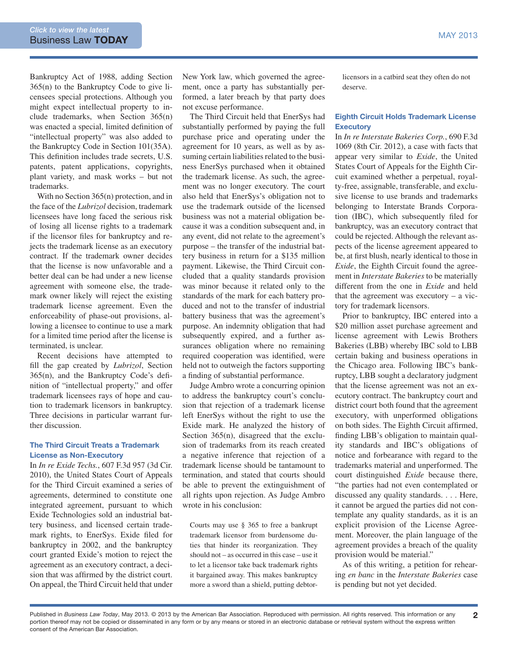Bankruptcy Act of 1988, adding Section 365(n) to the Bankruptcy Code to give licensees special protections. Although you might expect intellectual property to include trademarks, when Section 365(n) was enacted a special, limited definition of "intellectual property" was also added to the Bankruptcy Code in Section 101(35A). This definition includes trade secrets, U.S. patents, patent applications, copyrights, plant variety, and mask works – but not trademarks.

With no Section 365(n) protection, and in the face of the *Lubrizol* decision, trademark licensees have long faced the serious risk of losing all license rights to a trademark if the licensor files for bankruptcy and rejects the trademark license as an executory contract. If the trademark owner decides that the license is now unfavorable and a better deal can be had under a new license agreement with someone else, the trademark owner likely will reject the existing trademark license agreement. Even the enforceability of phase-out provisions, allowing a licensee to continue to use a mark for a limited time period after the license is terminated, is unclear.

Recent decisions have attempted to fill the gap created by *Lubrizol*, Section 365(n), and the Bankruptcy Code's definition of "intellectual property," and offer trademark licensees rays of hope and caution to trademark licensors in bankruptcy. Three decisions in particular warrant further discussion.

#### The Third Circuit Treats a Trademark License as Non-Executory

In *In re Exide Techs.*, 607 F.3d 957 (3d Cir. 2010), the United States Court of Appeals for the Third Circuit examined a series of agreements, determined to constitute one integrated agreement, pursuant to which Exide Technologies sold an industrial battery business, and licensed certain trademark rights, to EnerSys. Exide filed for bankruptcy in 2002, and the bankruptcy court granted Exide's motion to reject the agreement as an executory contract, a decision that was affirmed by the district court. On appeal, the Third Circuit held that under

New York law, which governed the agreement, once a party has substantially performed, a later breach by that party does not excuse performance.

The Third Circuit held that EnerSys had substantially performed by paying the full purchase price and operating under the agreement for 10 years, as well as by assuming certain liabilities related to the business EnerSys purchased when it obtained the trademark license. As such, the agreement was no longer executory. The court also held that EnerSys's obligation not to use the trademark outside of the licensed business was not a material obligation because it was a condition subsequent and, in any event, did not relate to the agreement's purpose – the transfer of the industrial battery business in return for a \$135 million payment. Likewise, the Third Circuit concluded that a quality standards provision was minor because it related only to the standards of the mark for each battery produced and not to the transfer of industrial battery business that was the agreement's purpose. An indemnity obligation that had subsequently expired, and a further assurances obligation where no remaining required cooperation was identified, were held not to outweigh the factors supporting a finding of substantial performance.

Judge Ambro wrote a concurring opinion to address the bankruptcy court's conclusion that rejection of a trademark license left EnerSys without the right to use the Exide mark. He analyzed the history of Section 365(n), disagreed that the exclusion of trademarks from its reach created a negative inference that rejection of a trademark license should be tantamount to termination, and stated that courts should be able to prevent the extinguishment of all rights upon rejection. As Judge Ambro wrote in his conclusion:

Courts may use § 365 to free a bankrupt trademark licensor from burdensome duties that hinder its reorganization. They should not – as occurred in this case – use it to let a licensor take back trademark rights it bargained away. This makes bankruptcy more a sword than a shield, putting debtorlicensors in a catbird seat they often do not deserve.

#### Eighth Circuit Holds Trademark License **Executory**

In *In re Interstate Bakeries Corp.*, 690 F.3d 1069 (8th Cir. 2012), a case with facts that appear very similar to *Exide*, the United States Court of Appeals for the Eighth Circuit examined whether a perpetual, royalty-free, assignable, transferable, and exclusive license to use brands and trademarks belonging to Interstate Brands Corporation (IBC), which subsequently filed for bankruptcy, was an executory contract that could be rejected. Although the relevant aspects of the license agreement appeared to be, at first blush, nearly identical to those in *Exide*, the Eighth Circuit found the agreement in *Interstate Bakeries* to be materially different from the one in *Exide* and held that the agreement was executory – a victory for trademark licensors.

Prior to bankruptcy, IBC entered into a \$20 million asset purchase agreement and license agreement with Lewis Brothers Bakeries (LBB) whereby IBC sold to LBB certain baking and business operations in the Chicago area. Following IBC's bankruptcy, LBB sought a declaratory judgment that the license agreement was not an executory contract. The bankruptcy court and district court both found that the agreement executory, with unperformed obligations on both sides. The Eighth Circuit affirmed, finding LBB's obligation to maintain quality standards and IBC's obligations of notice and forbearance with regard to the trademarks material and unperformed. The court distinguished *Exide* because there, "the parties had not even contemplated or discussed any quality standards. . . . Here, it cannot be argued the parties did not contemplate any quality standards, as it is an explicit provision of the License Agreement. Moreover, the plain language of the agreement provides a breach of the quality provision would be material."

As of this writing, a petition for rehearing *en banc* in the *Interstate Bakeries* case is pending but not yet decided.

Published in *Business Law Today*, May 2013. © 2013 by the American Bar Association. Reproduced with permission. All rights reserved. This information or any 2 portion thereof may not be copied or disseminated in any form or by any means or stored in an electronic database or retrieval system without the express written consent of the American Bar Association.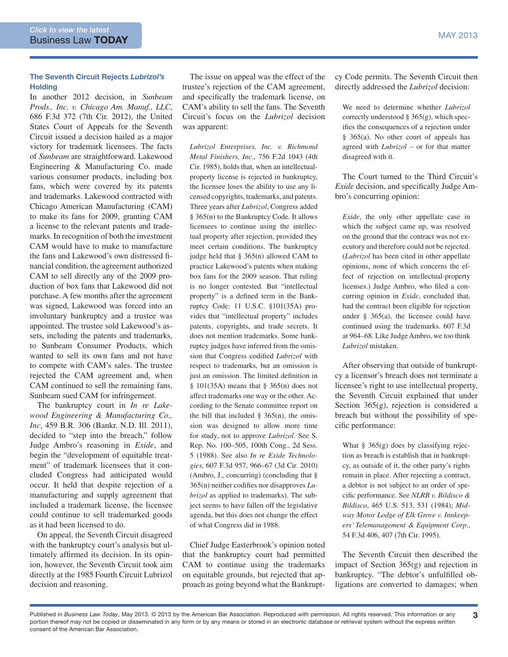### The Seventh Circuit Rejects *Lubrizol's* **Holding**

In another 2012 decision, in *Sunbeam Prods., Inc. v. Chicago Am. Manuf., LLC*, 686 F.3d 372 (7th Cir. 2012), the United States Court of Appeals for the Seventh Circuit issued a decision hailed as a major victory for trademark licensees. The facts of *Sunbeam* are straightforward. Lakewood Engineering & Manufacturing Co. made various consumer products, including box fans, which were covered by its patents and trademarks. Lakewood contracted with Chicago American Manufacturing (CAM) to make its fans for 2009, granting CAM a license to the relevant patents and trademarks. In recognition of both the investment CAM would have to make to manufacture the fans and Lakewood's own distressed financial condition, the agreement authorized CAM to sell directly any of the 2009 production of box fans that Lakewood did not purchase. A few months after the agreement was signed, Lakewood was forced into an involuntary bankruptcy and a trustee was appointed. The trustee sold Lakewood's assets, including the patents and trademarks, to Sunbeam Consumer Products, which wanted to sell its own fans and not have to compete with CAM's sales. The trustee rejected the CAM agreement and, when CAM continued to sell the remaining fans, Sunbeam sued CAM for infringement.

The bankruptcy court in *In re Lakewood Engineering & Manufacturing Co., Inc*, 459 B.R. 306 (Bankr. N.D. Ill. 2011), decided to "step into the breach," follow Judge Ambro's reasoning in *Exide*, and begin the "development of equitable treatment" of trademark licensees that it concluded Congress had anticipated would occur. It held that despite rejection of a manufacturing and supply agreement that included a trademark license, the licensee could continue to sell trademarked goods as it had been licensed to do.

On appeal, the Seventh Circuit disagreed with the bankruptcy court's analysis but ultimately affirmed its decision. In its opinion, however, the Seventh Circuit took aim directly at the 1985 Fourth Circuit Lubrizol decision and reasoning.

The issue on appeal was the effect of the trustee's rejection of the CAM agreement, and specifically the trademark license, on CAM's ability to sell the fans. The Seventh Circuit's focus on the *Lubrizol* decision was apparent:

*Lubrizol Enterprises, Inc. v. Richmond Metal Finishers, Inc.,* 756 F.2d 1043 (4th Cir. 1985), holds that, when an intellectualproperty license is rejected in bankruptcy, the licensee loses the ability to use any licensed copyrights, trademarks, and patents. Three years after *Lubrizol*, Congress added § 365(n) to the Bankruptcy Code. It allows licensees to continue using the intellectual property after rejection, provided they meet certain conditions. The bankruptcy judge held that § 365(n) allowed CAM to practice Lakewood's patents when making box fans for the 2009 season. That ruling is no longer contested. But "intellectual property" is a defined term in the Bankruptcy Code: 11 U.S.C. §101(35A) provides that "intellectual property" includes patents, copyrights, and trade secrets. It does not mention trademarks. Some bankruptcy judges have inferred from the omission that Congress codified *Lubrizol* with respect to trademarks, but an omission is just an omission. The limited definition in § 101(35A) means that § 365(n) does not affect trademarks one way or the other. According to the Senate committee report on the bill that included  $\S$  365(n), the omission was designed to allow more time for study, not to approve *Lubrizol*. See S. Rep. No. 100–505, 100th Cong., 2d Sess. 5 (1988). See also *In re Exide Technologies*, 607 F.3d 957, 966–67 (3d Cir. 2010) (Ambro, J., concurring) (concluding that § 365(n) neither codifies nor disapproves *Lubrizol* as applied to trademarks). The subject seems to have fallen off the legislative agenda, but this does not change the effect of what Congress did in 1988.

Chief Judge Easterbrook's opinion noted that the bankruptcy court had permitted CAM to continue using the trademarks on equitable grounds, but rejected that approach as going beyond what the Bankruptcy Code permits. The Seventh Circuit then directly addressed the *Lubrizol* decision:

We need to determine whether *Lubrizol*  correctly understood  $\S 365(g)$ , which specifies the consequences of a rejection under § 365(a). No other court of appeals has agreed with *Lubrizol* – or for that matter disagreed with it.

The Court turned to the Third Circuit's *Exide* decision, and specifically Judge Ambro's concurring opinion:

*Exide*, the only other appellate case in which the subject came up, was resolved on the ground that the contract was not executory and therefore could not be rejected. (*Lubrizol* has been cited in other appellate opinions, none of which concerns the effect of rejection on intellectual-property licenses.) Judge Ambro, who filed a concurring opinion in *Exide*, concluded that, had the contract been eligible for rejection under  $§$  365(a), the licensee could have continued using the trademarks. 607 F.3d at 964–68. Like Judge Ambro, we too think *Lubrizol* mistaken.

After observing that outside of bankruptcy a licensor's breach does not terminate a licensee's right to use intellectual property, the Seventh Circuit explained that under Section 365(g), rejection is considered a breach but without the possibility of specific performance:

What § 365(g) does by classifying rejection as breach is establish that in bankruptcy, as outside of it, the other party's rights remain in place. After rejecting a contract, a debtor is not subject to an order of specific performance. See *NLRB v. Bildisco & Bildisco*, 465 U.S. 513, 531 (1984); *Midway Motor Lodge of Elk Grove v. Innkeepers' Telemanagement & Equipment Corp*., 54 F.3d 406, 407 (7th Cir. 1995).

The Seventh Circuit then described the impact of Section 365(g) and rejection in bankruptcy. "The debtor's unfulfilled obligations are converted to damages; when

Published in *Business Law Today*, May 2013. © 2013 by the American Bar Association. Reproduced with permission. All rights reserved. This information or any 3 portion thereof may not be copied or disseminated in any form or by any means or stored in an electronic database or retrieval system without the express written consent of the American Bar Association.